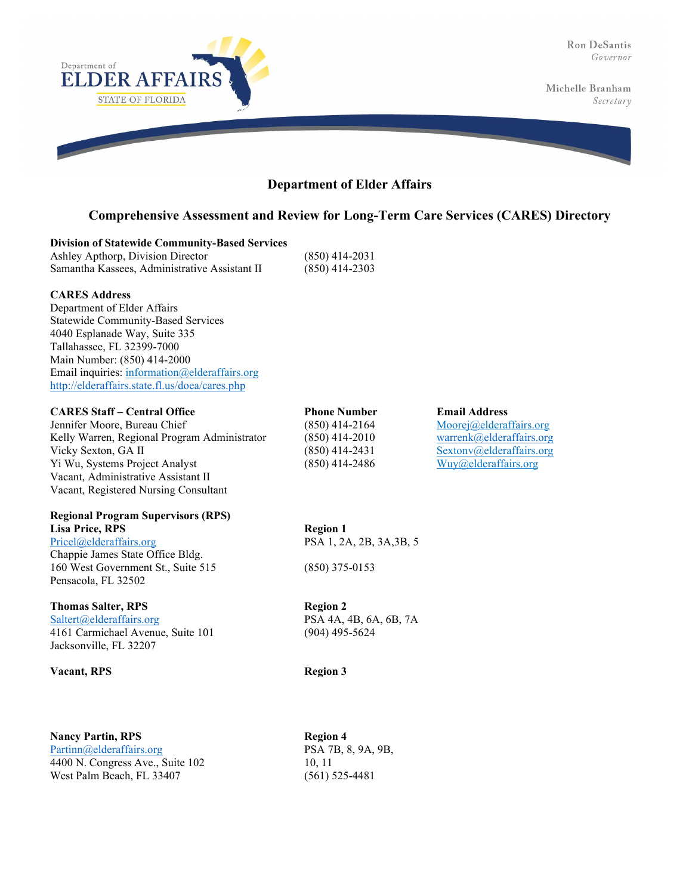

## **Department of Elder Affairs**

## **Comprehensive Assessment and Review for Long-Term Care Services (CARES) Directory**

|  | <b>Division of Statewide Community-Based Services</b> |
|--|-------------------------------------------------------|
|--|-------------------------------------------------------|

| Ashley Apthorp, Division Director             |      |
|-----------------------------------------------|------|
| Samantha Kassees, Administrative Assistant II | (850 |

 $)$ ) 414-2031  $(9)$  414-2303

## **CARES Address**

Department of Elder Affairs Statewide Community-Based Services 4040 Esplanade Way, Suite 335 Tallahassee, FL 32399-7000 Main Number: (850) 414-2000 Email inquiries: [information@elderaffairs.org](mailto:information@elderaffairs.org) <http://elderaffairs.state.fl.us/doea/cares.php>

## **CARES Staff – Central Office Phone Number Email Address**

Jennifer Moore, Bureau Chief (850) 414-2164 [Moorej@elderaffairs.org](mailto:moorej@elderaffairs.org) Kelly Warren, Regional Program Administrator (850) 414-2010 [warrenk@elderaffairs.org](mailto:warrenk@elderaffairs.org) Vicky Sexton, GA II (850) 414-2431 [Sextonv@elderaffairs.org](mailto:Sextonv@elderaffairs.org) Yi Wu, Systems Project Analyst (850) 414-2486 [Wuy@elderaffairs.org](mailto:Wuy@elderaffairs.org) Vacant, Administrative Assistant II Vacant, Registered Nursing Consultant

# **Regional Program Supervisors (RPS)**

**Lisa Price, RPS Region 1**<br>Pricel@elderaffairs.org **PSA** 1, 2*i* Chappie James State Office Bldg. 160 West Government St., Suite 515 (850) 375-0153 Pensacola, FL 32502

## **Thomas Salter, RPS Region 2**

[Saltert@elderaffairs.org](mailto:Saltert@elderaffairs.org) PSA 4A, 4B, 6A, 6B, 7A 4161 Carmichael Avenue, Suite 101 (904) 495-5624 Jacksonville, FL 32207

## **Vacant, RPS Region 3**

**Nancy Partin, RPS Region 4** [Partinn@elderaffairs.org](mailto:Partinn@elderaffairs.org) PSA 7B, 8, 9A, 9B, 4400 N. Congress Ave., Suite 102 10, 11 West Palm Beach, FL 33407 (561) 525-4481

PSA 1, 2A, 2B, 3A,3B, 5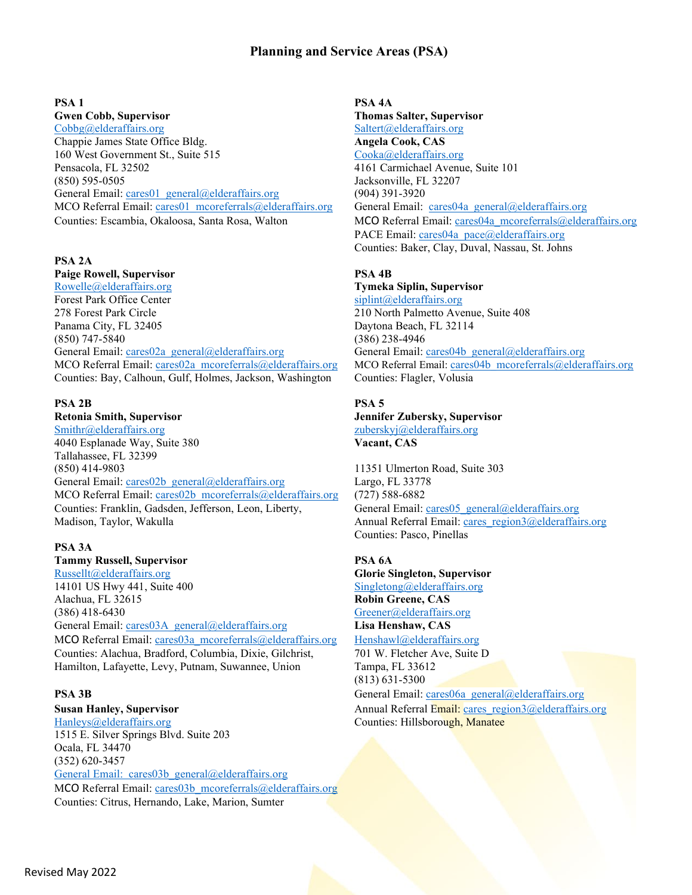## **Planning and Service Areas (PSA)**

[Cobbg@elderaffairs.org](mailto:Cobbg@elderaffairs.org) [Saltert@elderaffairs.org](mailto:Saltert@elderaffairs.org) Chappie James State Office Bldg. **Angela Cook, CAS** 160 West Government St., Suite 515 [Cooka@elderaffairs.org](mailto:Cooka@elderaffairs.org) Pensacola, FL 32502 4161 Carmichael Avenue, Suite 101 (850) 595-0505 Jacksonville, FL 32207 General Email: [cares01\\_general@elderaffairs.org](mailto:cares01_general@elderaffairs.org) (904) 391-3920<br>MCO Referral Email: cares01\_mcoreferrals@elderaffairs.org General Email: cares04a\_general@elderaffairs.org MCO Referral Email: cares01\_mcoreferrals@elderaffairs.org Counties: Escambia, Okaloosa, Santa Rosa, Walton MCO Referral Email: cares04a mcoreferrals@elderaffairs.org

## **PSA 2A**

**Paige Rowell, Supervisor**<br> **PSA 4B**<br> **Rowelle@elderaffairs.org**<br> **PSA 4B**<br> **PSA 4B** Forest Park Office Center simulations of signification significations of significations of significations of significations of significations of significations of significations of significations of significations of signi 278 Forest Park Circle 210 North Palmetto Avenue, Suite 408 Panama City, FL 32405 Daytona Beach, FL 32114 (850) 747-5840 (386) 238-4946 General Email: [cares02a\\_general@elderaffairs.org](mailto:cares02a_general@elderaffairs.org) General Email: [cares04b\\_general@elderaffairs.org](mailto:cares04b_general@elderaffairs.org) MCO Referral Email: [cares02a\\_mcoreferrals@elderaffairs.org](mailto:cares02a_mcoreferrals@elderaffairs.org) MCO Referral Email: [cares04b\\_mcoreferrals@elderaffairs.org](mailto:cares04b_mcoreferrals@elderaffairs.org) Counties: Bay, Calhoun, Gulf, Holmes, Jackson, Washington Counties: Flagler, Volusia

## **PSA 2B PSA 5**

**Retonia Smith, Supervisor Jennifer Zubersky, Supervisor** [Smithr@elderaffairs.org](mailto:Smithr@elderaffairs.org) [zuberskyj@elderaffairs.org](mailto:zuberskyj@elderaffairs.org) 4040 Esplanade Way, Suite 380 **Vacant, CAS** Tallahassee, FL 32399 (850) 414-9803 11351 Ulmerton Road, Suite 303 General Email: cares02b general@elderaffairs.org Largo, FL 33778 MCO Referral Email: [cares02b\\_mcoreferrals@elderaffairs.org](mailto:cares02b_mcoreferrals@elderaffairs.org) (727) 588-6882 Counties: Franklin, Gadsden, Jefferson, Leon, Liberty, General Email: [cares05\\_general@elderaffairs.org](mailto:cares05_general@elderaffairs.org) Madison, Taylor, Wakulla Annual Referral Email: cares region3@elderaffairs.org

## **PSA 3A**

### **Tammy Russell, Supervisor PSA 6A**

[Russellt@elderaffairs.org](mailto:Russellt@elderaffairs.org) **Glorie Singleton, Supervisor** 14101 US Hwy 441, Suite 400 Alachua, FL 32615 **Robin Greene, CAS** (386) 418-6430 [Greener@elderaffairs.org](mailto:Greener@elderaffairs.org) General Email: [cares03A\\_general@elderaffairs.org](mailto:cares03A_general@elderaffairs.org) **Lisa Henshaw, CAS** MCO Referral Email: [cares03a\\_mcoreferrals@elderaffairs.org](mailto:cares03a_mcoreferrals@elderaffairs.org) [Henshawl@elderaffairs.org](mailto:Henshawl@elderaffairs.org) Counties: Alachua, Bradford, Columbia, Dixie, Gilchrist, 701 W. Fletcher Ave, Suite D Hamilton, Lafayette, Levy, Putnam, Suwannee, Union Tampa, FL 33612

[Hanleys@elderaffairs.org](mailto:Hanleys@elderaffairs.org) Counties: Hillsborough, Manatee 1515 E. Silver Springs Blvd. Suite 203 Ocala, FL 34470 (352) 620-3457 General Email: [cares03b\\_general@elderaffairs.org](mailto:cares03b_general@elderaffairs.org) MCO Referral Email: [cares03b\\_mcoreferrals@elderaffairs.org](mailto:cares03b_mcoreferrals@elderaffairs.org) Counties: Citrus, Hernando, Lake, Marion, Sumter

# **PSA 1 PSA 4A Gwen Cobb, Supervisor Thomas Salter, Supervisor** PACE Email: [cares04a\\_pace@elderaffairs.org](mailto:cares04a_pace@elderaffairs.org) Counties: Baker, Clay, Duval, Nassau, St. Johns

## [Rowelle@elderaffairs.org](mailto:Rowelle@elderaffairs.org) **Tymeka Siplin, Supervisor**

Counties: Pasco, Pinellas

(813) 631-5300

**PSA 3B** General Email: [cares06a\\_general@elderaffairs.org](mailto:cares06a_general@elderaffairs.org) **Susan Hanley, Supervisor** Annual Referral Email: [cares\\_region3@elderaffairs.org](mailto:cares_region3@elderaffairs.org)